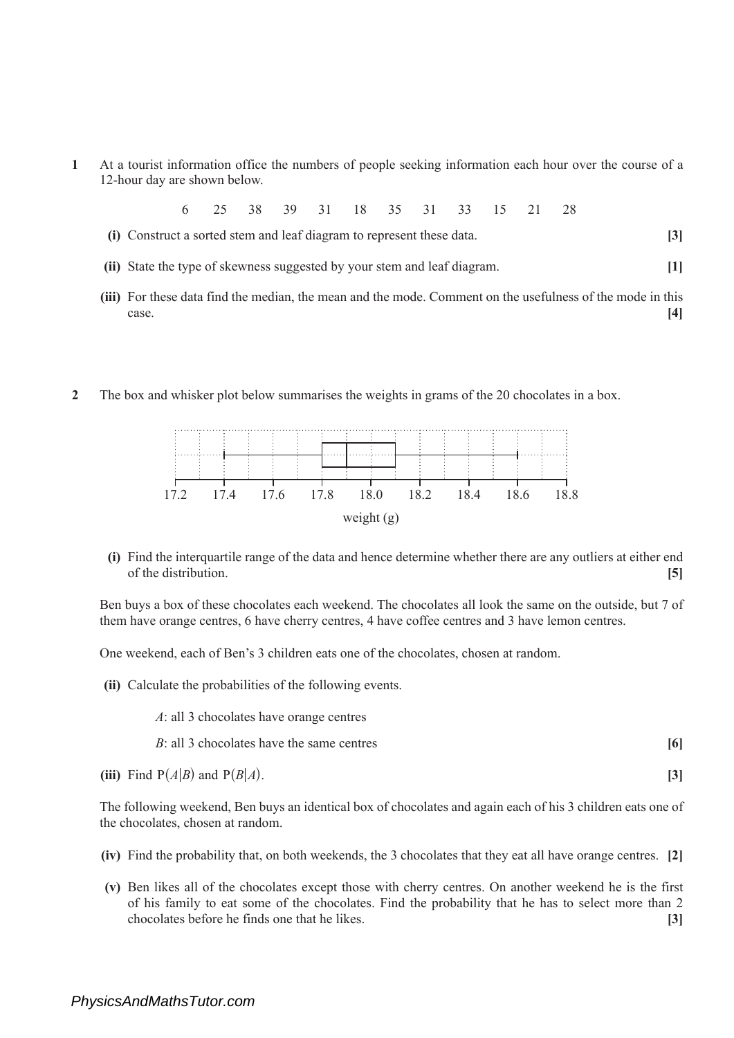- **1** At a tourist information office the numbers of people seeking information each hour over the course of a 12-hour day are shown below.
	- 6 25 38 39 31 18 35 31 33 15 21 28
	- **(i)** Construct a sorted stem and leaf diagram to represent these data. **[3]**
	- **(ii)** State the type of skewness suggested by your stem and leaf diagram. **[1]**
	- **(iii)** For these data find the median, the mean and the mode. Comment on the usefulness of the mode in this case. **[4]**
- **2** The box and whisker plot below summarises the weights in grams of the 20 chocolates in a box.



**(i)** Find the interquartile range of the data and hence determine whether there are any outliers at either end of the distribution. **[5]**

Ben buys a box of these chocolates each weekend. The chocolates all look the same on the outside, but 7 of them have orange centres, 6 have cherry centres, 4 have coffee centres and 3 have lemon centres.

One weekend, each of Ben's 3 children eats one of the chocolates, chosen at random.

- **(ii)** Calculate the probabilities of the following events.
	- *A*: all 3 chocolates have orange centres
	- *B*: all 3 chocolates have the same centres **[6]**
- (iii) Find  $P(A|B)$  and  $P(B|A)$ . [3]

The following weekend, Ben buys an identical box of chocolates and again each of his 3 children eats one of the chocolates, chosen at random.

- **(iv)** Find the probability that, on both weekends, the 3 chocolates that they eat all have orange centres. **[2]**
- **(v)** Ben likes all of the chocolates except those with cherry centres. On another weekend he is the first of his family to eat some of the chocolates. Find the probability that he has to select more than 2 chocolates before he finds one that he likes. **[3]**